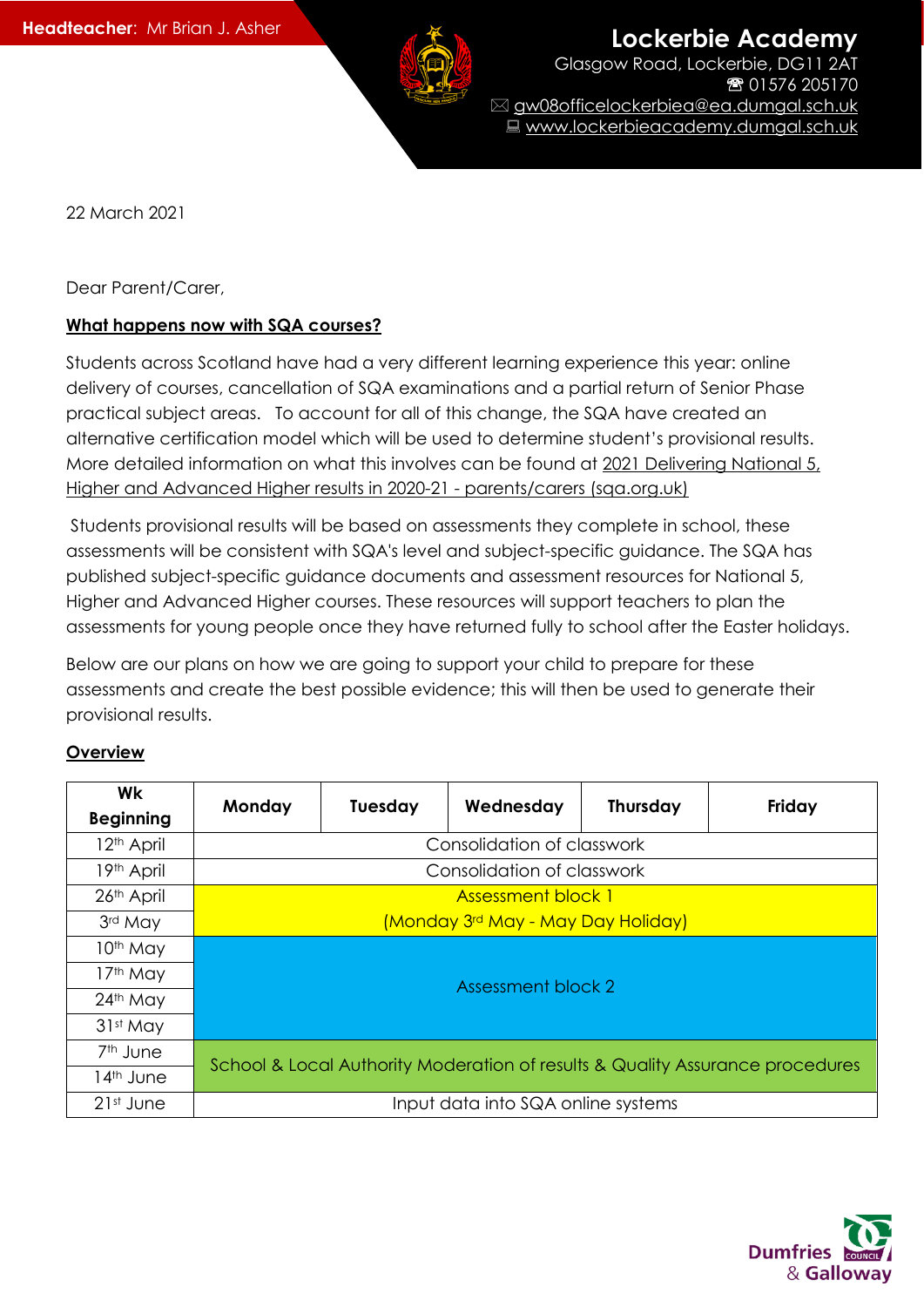

**Lockerbie Academy** 

Glasgow Road, Lockerbie, DG11 2AT ■ 01576 205170 gw08officelockerbiea@ea.dumgal.sch.uk ■ www.lockerbieacademy.dumgal.sch.uk

22 March 2021

Dear Parent/Carer,

## **What happens now with SQA courses?**

Students across Scotland have had a very different learning experience this year: online delivery of courses, cancellation of SQA examinations and a partial return of Senior Phase practical subject areas. To account for all of this change, the SQA have created an alternative certification model which will be used to determine student's provisional results. More detailed information on what this involves can be found at 2021 [Delivering](https://blogs.sqa.org.uk/2021/2021/02/16/update-on-delivering-national-5-higher-and-advanced-higher-results-in-2020-21-parents-carers/?mkt_tok=eyJpIjoiTkdGa016Tm1NMlUzWW1RNSIsInQiOiJwMGtlTnVhMWU3OGh2V3BlMlh0ZGJSU0loTzlEMlZGcWIwN3d5clBIUTBpOTZDdkh5U3FqUDBsenJDUWlwZXVYQ2N0anorWFhkXC9HRjFDTFwvcjhiTkxQTk1xSDlOK1VLc3lycCt0QU8rWkFzclpNUjVsZGRSTmM4cEhYZ2NoSXg3In0%3D) National 5, Higher and Advanced Higher results in 2020-21 - [parents/carers](https://blogs.sqa.org.uk/2021/2021/02/16/update-on-delivering-national-5-higher-and-advanced-higher-results-in-2020-21-parents-carers/?mkt_tok=eyJpIjoiTkdGa016Tm1NMlUzWW1RNSIsInQiOiJwMGtlTnVhMWU3OGh2V3BlMlh0ZGJSU0loTzlEMlZGcWIwN3d5clBIUTBpOTZDdkh5U3FqUDBsenJDUWlwZXVYQ2N0anorWFhkXC9HRjFDTFwvcjhiTkxQTk1xSDlOK1VLc3lycCt0QU8rWkFzclpNUjVsZGRSTmM4cEhYZ2NoSXg3In0%3D) (sqa.org.uk)

Students provisional results will be based on assessments they complete in school, these assessments will be consistent with SQA's level and subject-specific guidance. The SQA has published subject-specific guidance documents and assessment resources for National 5, Higher and Advanced Higher courses. These resources will support teachers to plan the assessments for young people once they have returned fully to school after the Easter holidays.

Below are our plans on how we are going to support your child to prepare for these assessments and create the best possible evidence; this will then be used to generate their provisional results.

## **Overview**

| Wk<br><b>Beginning</b> | Monday                                                                        | <b>Tuesday</b> | Wednesday | <b>Thursday</b> | Friday |
|------------------------|-------------------------------------------------------------------------------|----------------|-----------|-----------------|--------|
| 12 <sup>th</sup> April | Consolidation of classwork                                                    |                |           |                 |        |
| 19th April             | Consolidation of classwork                                                    |                |           |                 |        |
| 26th April             | <b>Assessment block 1</b>                                                     |                |           |                 |        |
| 3rd May                | (Monday 3rd May - May Day Holiday)                                            |                |           |                 |        |
| 10 <sup>th</sup> May   | Assessment block 2                                                            |                |           |                 |        |
| 17 <sup>th</sup> May   |                                                                               |                |           |                 |        |
| 24th May               |                                                                               |                |           |                 |        |
| 31st May               |                                                                               |                |           |                 |        |
| 7 <sup>th</sup> June   | School & Local Authority Moderation of results & Quality Assurance procedures |                |           |                 |        |
| 14 <sup>th</sup> June  |                                                                               |                |           |                 |        |
| 21st June              | Input data into SQA online systems                                            |                |           |                 |        |